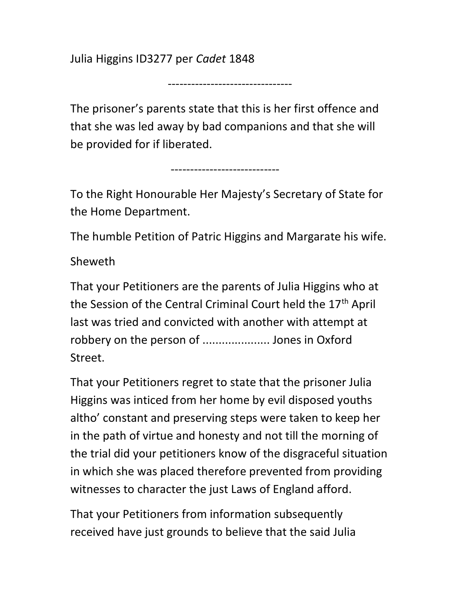Julia Higgins ID3277 per Cadet 1848

--------------------------------

The prisoner's parents state that this is her first offence and that she was led away by bad companions and that she will be provided for if liberated.

----------------------------

To the Right Honourable Her Majesty's Secretary of State for the Home Department.

The humble Petition of Patric Higgins and Margarate his wife.

Sheweth

That your Petitioners are the parents of Julia Higgins who at the Session of the Central Criminal Court held the 17<sup>th</sup> April last was tried and convicted with another with attempt at robbery on the person of ..................... Jones in Oxford Street.

That your Petitioners regret to state that the prisoner Julia Higgins was inticed from her home by evil disposed youths altho' constant and preserving steps were taken to keep her in the path of virtue and honesty and not till the morning of the trial did your petitioners know of the disgraceful situation in which she was placed therefore prevented from providing witnesses to character the just Laws of England afford.

That your Petitioners from information subsequently received have just grounds to believe that the said Julia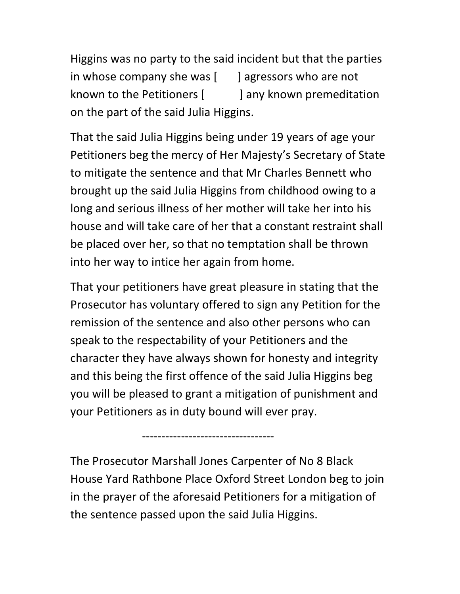Higgins was no party to the said incident but that the parties in whose company she was  $\begin{bmatrix} 1 \\ 2 \end{bmatrix}$  agressors who are not known to the Petitioners  $\begin{bmatrix} 1 & 1 \\ 0 & 1 \end{bmatrix}$  any known premeditation on the part of the said Julia Higgins.

That the said Julia Higgins being under 19 years of age your Petitioners beg the mercy of Her Majesty's Secretary of State to mitigate the sentence and that Mr Charles Bennett who brought up the said Julia Higgins from childhood owing to a long and serious illness of her mother will take her into his house and will take care of her that a constant restraint shall be placed over her, so that no temptation shall be thrown into her way to intice her again from home.

That your petitioners have great pleasure in stating that the Prosecutor has voluntary offered to sign any Petition for the remission of the sentence and also other persons who can speak to the respectability of your Petitioners and the character they have always shown for honesty and integrity and this being the first offence of the said Julia Higgins beg you will be pleased to grant a mitigation of punishment and your Petitioners as in duty bound will ever pray.

The Prosecutor Marshall Jones Carpenter of No 8 Black House Yard Rathbone Place Oxford Street London beg to join in the prayer of the aforesaid Petitioners for a mitigation of the sentence passed upon the said Julia Higgins.

----------------------------------